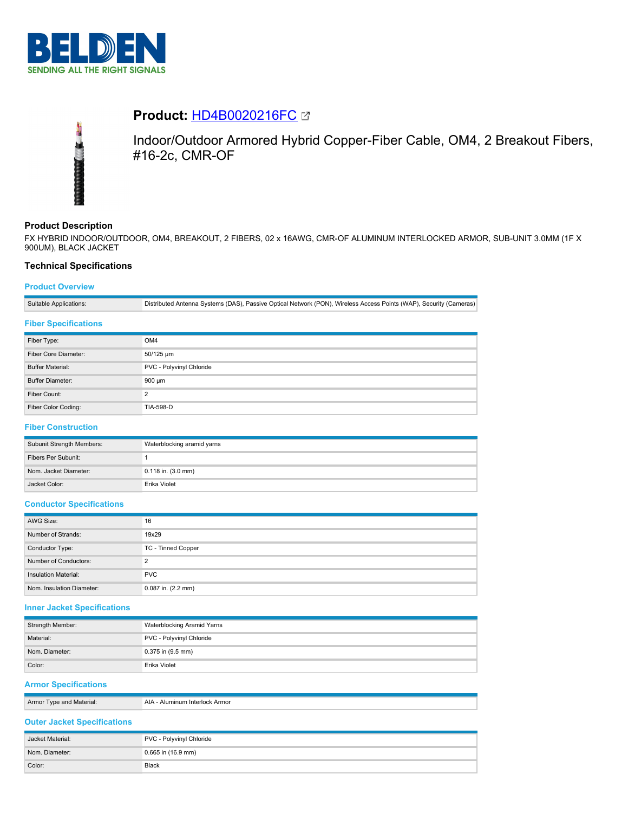

# **Product:** [HD4B0020216FC](https://catalog.belden.com/index.cfm?event=pd&p=PF_HD4B0020216FC&tab=downloads)



Indoor/Outdoor Armored Hybrid Copper-Fiber Cable, OM4, 2 Breakout Fibers, #16-2c, CMR-OF

# **Product Description**

FX HYBRID INDOOR/OUTDOOR, OM4, BREAKOUT, 2 FIBERS, 02 x 16AWG, CMR-OF ALUMINUM INTERLOCKED ARMOR, SUB-UNIT 3.0MM (1F X 900UM), BLACK JACKET

## **Technical Specifications**

## **Product Overview**

Suitable Applications: Distributed Antenna Systems (DAS), Passive Optical Network (PON), Wireless Access Points (WAP), Security (Cameras) **Fiber Specifications**

| Fiber Type:             | OM4                      |
|-------------------------|--------------------------|
| Fiber Core Diameter:    | 50/125 um                |
| <b>Buffer Material:</b> | PVC - Polyvinyl Chloride |
| <b>Buffer Diameter:</b> | $900 \mu m$              |
| Fiber Count:            | ົ                        |
| Fiber Color Coding:     | TIA-598-D                |

## **Fiber Construction**

| Subunit Strength Members: | Waterblocking aramid yarns |
|---------------------------|----------------------------|
| Fibers Per Subunit:       |                            |
| Nom. Jacket Diameter:     | $0.118$ in. $(3.0$ mm)     |
| Jacket Color:             | Erika Violet               |

## **Conductor Specifications**

| AWG Size:                 | 16                 |
|---------------------------|--------------------|
| Number of Strands:        | 19x29              |
| Conductor Type:           | TC - Tinned Copper |
| Number of Conductors:     | ◠                  |
| Insulation Material:      | <b>PVC</b>         |
| Nom. Insulation Diameter: | 0.087 in. (2.2 mm) |

## **Inner Jacket Specifications**

| Strength Member: | Waterblocking Aramid Yarns |
|------------------|----------------------------|
| Material:        | PVC - Polyvinyl Chloride   |
| Nom. Diameter:   | 0.375 in (9.5 mm)          |
| Color:           | Erika Violet               |

## **Armor Specifications**

| Armor<br>l vne<br>and Material. | . Armor<br>יי |
|---------------------------------|---------------|
|                                 |               |

## **Outer Jacket Specifications**

| Jacket Material: | PVC - Polyvinyl Chloride |
|------------------|--------------------------|
| Nom. Diameter:   | 0.665 in (16.9 mm)       |
| Color:           | Black                    |